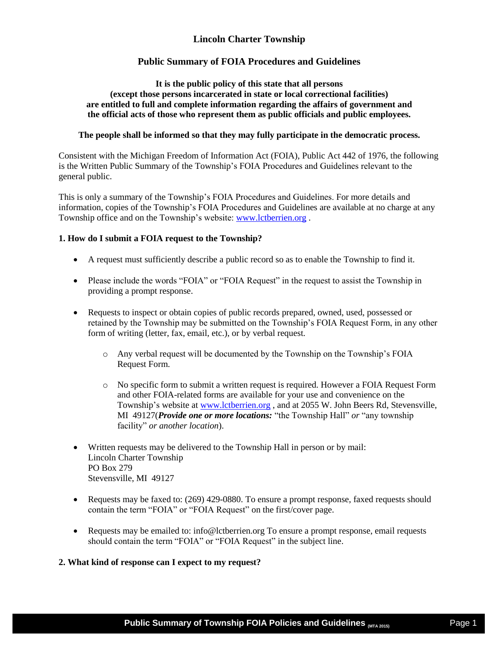# **Lincoln Charter Township**

## **Public Summary of FOIA Procedures and Guidelines**

## **It is the public policy of this state that all persons (except those persons incarcerated in state or local correctional facilities) are entitled to full and complete information regarding the affairs of government and the official acts of those who represent them as public officials and public employees.**

## **The people shall be informed so that they may fully participate in the democratic process.**

Consistent with the Michigan Freedom of Information Act (FOIA), Public Act 442 of 1976, the following is the Written Public Summary of the Township's FOIA Procedures and Guidelines relevant to the general public.

This is only a summary of the Township's FOIA Procedures and Guidelines. For more details and information, copies of the Township's FOIA Procedures and Guidelines are available at no charge at any Township office and on the Township's website: [www.lctberrien.org](http://www.lctberrien.org/) .

## **1. How do I submit a FOIA request to the Township?**

- A request must sufficiently describe a public record so as to enable the Township to find it.
- Please include the words "FOIA" or "FOIA Request" in the request to assist the Township in providing a prompt response.
- Requests to inspect or obtain copies of public records prepared, owned, used, possessed or retained by the Township may be submitted on the Township's FOIA Request Form, in any other form of writing (letter, fax, email, etc.), or by verbal request.
	- o Any verbal request will be documented by the Township on the Township's FOIA Request Form.
	- o No specific form to submit a written request is required. However a FOIA Request Form and other FOIA-related forms are available for your use and convenience on the Township's website a[t www.lctberrien.org](http://www.lctberrien.org/) , and at 2055 W. John Beers Rd, Stevensville, MI 49127(*Provide one or more locations:* "the Township Hall" *or* "any township facility" *or another location*).
- Written requests may be delivered to the Township Hall in person or by mail: Lincoln Charter Township PO Box 279 Stevensville, MI 49127
- Requests may be faxed to: (269) 429-0880. To ensure a prompt response, faxed requests should contain the term "FOIA" or "FOIA Request" on the first/cover page.
- Requests may be emailed to: info@lctberrien.org To ensure a prompt response, email requests should contain the term "FOIA" or "FOIA Request" in the subject line.

## **2. What kind of response can I expect to my request?**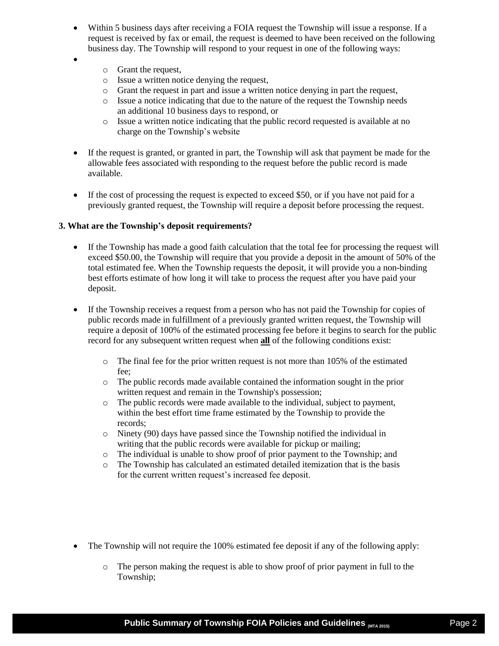- Within 5 business days after receiving a FOIA request the Township will issue a response. If a request is received by fax or email, the request is deemed to have been received on the following business day. The Township will respond to your request in one of the following ways:
- $\bullet$
- o Grant the request,
- o Issue a written notice denying the request,
- o Grant the request in part and issue a written notice denying in part the request,
- o Issue a notice indicating that due to the nature of the request the Township needs an additional 10 business days to respond, or
- o Issue a written notice indicating that the public record requested is available at no charge on the Township's website
- If the request is granted, or granted in part, the Township will ask that payment be made for the allowable fees associated with responding to the request before the public record is made available.
- If the cost of processing the request is expected to exceed \$50, or if you have not paid for a previously granted request, the Township will require a deposit before processing the request.

## **3. What are the Township's deposit requirements?**

- If the Township has made a good faith calculation that the total fee for processing the request will exceed \$50.00, the Township will require that you provide a deposit in the amount of 50% of the total estimated fee. When the Township requests the deposit, it will provide you a non-binding best efforts estimate of how long it will take to process the request after you have paid your deposit.
- If the Township receives a request from a person who has not paid the Township for copies of public records made in fulfillment of a previously granted written request, the Township will require a deposit of 100% of the estimated processing fee before it begins to search for the public record for any subsequent written request when **all** of the following conditions exist:
	- o The final fee for the prior written request is not more than 105% of the estimated fee;
	- o The public records made available contained the information sought in the prior written request and remain in the Township's possession;
	- o The public records were made available to the individual, subject to payment, within the best effort time frame estimated by the Township to provide the records;
	- o Ninety (90) days have passed since the Township notified the individual in writing that the public records were available for pickup or mailing;
	- o The individual is unable to show proof of prior payment to the Township; and
	- o The Township has calculated an estimated detailed itemization that is the basis for the current written request's increased fee deposit.
- The Township will not require the 100% estimated fee deposit if any of the following apply:
	- o The person making the request is able to show proof of prior payment in full to the Township;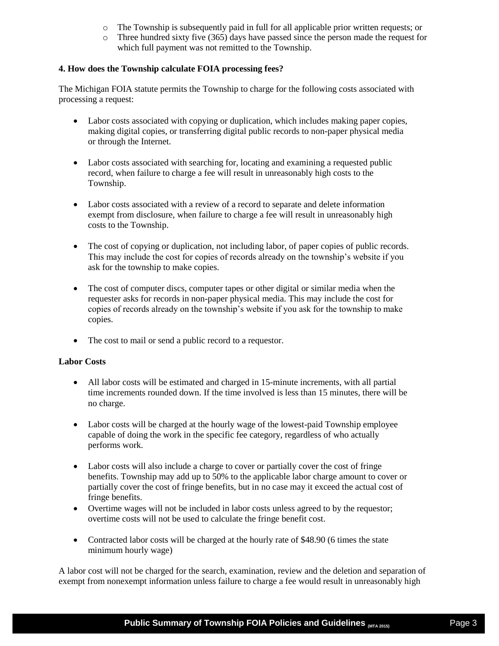- o The Township is subsequently paid in full for all applicable prior written requests; or
- o Three hundred sixty five (365) days have passed since the person made the request for which full payment was not remitted to the Township.

## **4. How does the Township calculate FOIA processing fees?**

The Michigan FOIA statute permits the Township to charge for the following costs associated with processing a request:

- Labor costs associated with copying or duplication, which includes making paper copies, making digital copies, or transferring digital public records to non-paper physical media or through the Internet.
- Labor costs associated with searching for, locating and examining a requested public record, when failure to charge a fee will result in unreasonably high costs to the Township.
- Labor costs associated with a review of a record to separate and delete information exempt from disclosure, when failure to charge a fee will result in unreasonably high costs to the Township.
- The cost of copying or duplication, not including labor, of paper copies of public records. This may include the cost for copies of records already on the township's website if you ask for the township to make copies.
- The cost of computer discs, computer tapes or other digital or similar media when the requester asks for records in non-paper physical media. This may include the cost for copies of records already on the township's website if you ask for the township to make copies.
- The cost to mail or send a public record to a requestor.

## **Labor Costs**

- All labor costs will be estimated and charged in 15-minute increments, with all partial time increments rounded down. If the time involved is less than 15 minutes, there will be no charge.
- Labor costs will be charged at the hourly wage of the lowest-paid Township employee capable of doing the work in the specific fee category, regardless of who actually performs work.
- Labor costs will also include a charge to cover or partially cover the cost of fringe benefits. Township may add up to 50% to the applicable labor charge amount to cover or partially cover the cost of fringe benefits, but in no case may it exceed the actual cost of fringe benefits.
- Overtime wages will not be included in labor costs unless agreed to by the requestor; overtime costs will not be used to calculate the fringe benefit cost.
- Contracted labor costs will be charged at the hourly rate of \$48.90 (6 times the state minimum hourly wage)

A labor cost will not be charged for the search, examination, review and the deletion and separation of exempt from nonexempt information unless failure to charge a fee would result in unreasonably high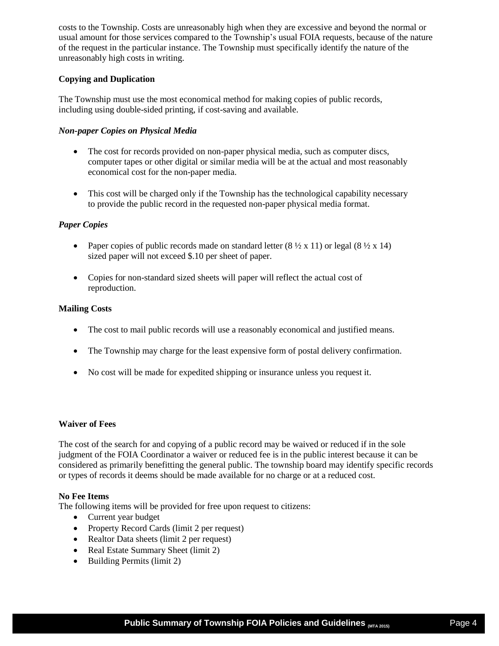costs to the Township. Costs are unreasonably high when they are excessive and beyond the normal or usual amount for those services compared to the Township's usual FOIA requests, because of the nature of the request in the particular instance. The Township must specifically identify the nature of the unreasonably high costs in writing.

## **Copying and Duplication**

The Township must use the most economical method for making copies of public records, including using double-sided printing, if cost-saving and available.

## *Non-paper Copies on Physical Media*

- The cost for records provided on non-paper physical media, such as computer discs, computer tapes or other digital or similar media will be at the actual and most reasonably economical cost for the non-paper media.
- This cost will be charged only if the Township has the technological capability necessary to provide the public record in the requested non-paper physical media format.

## *Paper Copies*

- Paper copies of public records made on standard letter  $(8 \frac{1}{2} \times 11)$  or legal  $(8 \frac{1}{2} \times 14)$ sized paper will not exceed \$.10 per sheet of paper.
- Copies for non-standard sized sheets will paper will reflect the actual cost of reproduction.

## **Mailing Costs**

- The cost to mail public records will use a reasonably economical and justified means.
- The Township may charge for the least expensive form of postal delivery confirmation.
- No cost will be made for expedited shipping or insurance unless you request it.

## **Waiver of Fees**

The cost of the search for and copying of a public record may be waived or reduced if in the sole judgment of the FOIA Coordinator a waiver or reduced fee is in the public interest because it can be considered as primarily benefitting the general public. The township board may identify specific records or types of records it deems should be made available for no charge or at a reduced cost.

## **No Fee Items**

The following items will be provided for free upon request to citizens:

- Current year budget
- Property Record Cards (limit 2 per request)
- Realtor Data sheets (limit 2 per request)
- Real Estate Summary Sheet (limit 2)
- Building Permits (limit 2)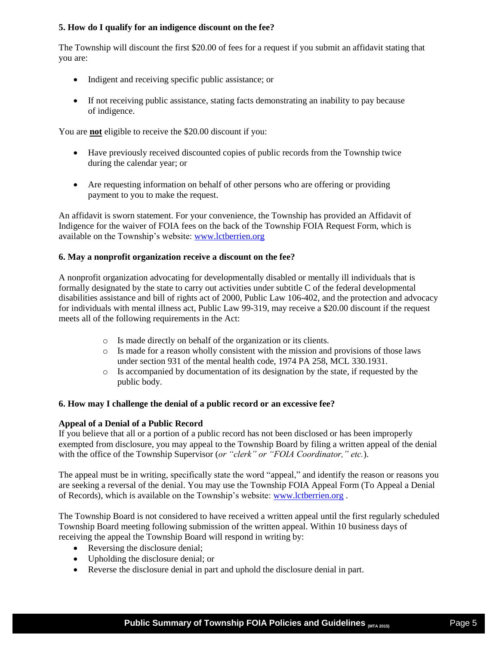## **5. How do I qualify for an indigence discount on the fee?**

The Township will discount the first \$20.00 of fees for a request if you submit an affidavit stating that you are:

- Indigent and receiving specific public assistance; or
- If not receiving public assistance, stating facts demonstrating an inability to pay because of indigence.

You are **not** eligible to receive the \$20.00 discount if you:

- Have previously received discounted copies of public records from the Township twice during the calendar year; or
- Are requesting information on behalf of other persons who are offering or providing payment to you to make the request.

An affidavit is sworn statement. For your convenience, the Township has provided an Affidavit of Indigence for the waiver of FOIA fees on the back of the Township FOIA Request Form, which is available on the Township's website: [www.lctberrien.org](http://www.lctberrien.org/)

## **6. May a nonprofit organization receive a discount on the fee?**

A nonprofit organization advocating for developmentally disabled or mentally ill individuals that is formally designated by the state to carry out activities under subtitle C of the federal developmental disabilities assistance and bill of rights act of 2000, Public Law 106-402, and the protection and advocacy for individuals with mental illness act, Public Law 99-319, may receive a \$20.00 discount if the request meets all of the following requirements in the Act:

- o Is made directly on behalf of the organization or its clients.
- o Is made for a reason wholly consistent with the mission and provisions of those laws under section 931 of the mental health code, 1974 PA 258, MCL 330.1931.
- o Is accompanied by documentation of its designation by the state, if requested by the public body.

## **6. How may I challenge the denial of a public record or an excessive fee?**

## **Appeal of a Denial of a Public Record**

If you believe that all or a portion of a public record has not been disclosed or has been improperly exempted from disclosure, you may appeal to the Township Board by filing a written appeal of the denial with the office of the Township Supervisor (*or "clerk" or "FOIA Coordinator," etc.*).

The appeal must be in writing, specifically state the word "appeal," and identify the reason or reasons you are seeking a reversal of the denial. You may use the Township FOIA Appeal Form (To Appeal a Denial of Records), which is available on the Township's website: [www.lctberrien.org](http://www.lctberrien.org/) .

The Township Board is not considered to have received a written appeal until the first regularly scheduled Township Board meeting following submission of the written appeal. Within 10 business days of receiving the appeal the Township Board will respond in writing by:

- Reversing the disclosure denial;
- Upholding the disclosure denial; or
- Reverse the disclosure denial in part and uphold the disclosure denial in part.